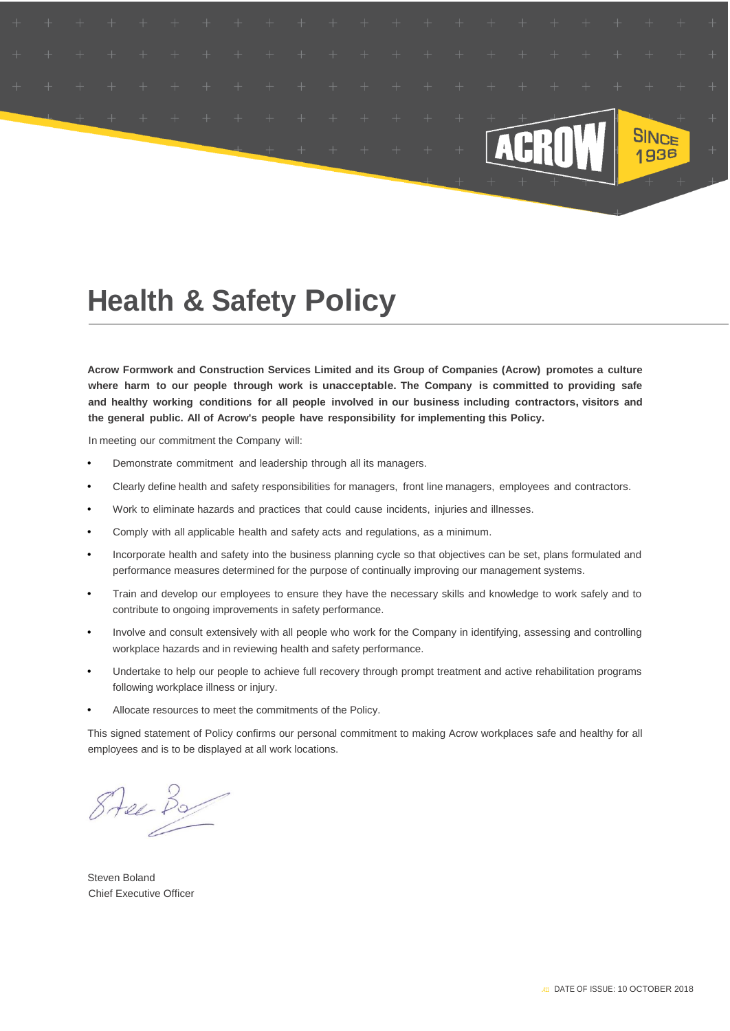## **Health & Safety Policy**

**Acrow Formwork and Construction Services Limited and its Group of Companies (Acrow) promotes a culture where harm to our people through work is unacceptable. The Company is committed to providing safe and healthy working conditions for all people involved in our business including contractors, visitors and the general public. All of Acrow's people have responsibility for implementing this Policy.**

In meeting our commitment the Company will:

- Demonstrate commitment and leadership through all its managers.
- Clearly define health and safety responsibilities for managers, front line managers, employees and contractors.
- Work to eliminate hazards and practices that could cause incidents, injuries and illnesses.
- Comply with all applicable health and safety acts and regulations, as a minimum.
- Incorporate health and safety into the business planning cycle so that objectives can be set, plans formulated and performance measures determined for the purpose of continually improving our management systems.
- Train and develop our employees to ensure they have the necessary skills and knowledge to work safely and to contribute to ongoing improvements in safety performance.
- Involve and consult extensively with all people who work for the Company in identifying, assessing and controlling workplace hazards and in reviewing health and safety performance.
- Undertake to help our people to achieve full recovery through prompt treatment and active rehabilitation programs following workplace illness or injury.
- Allocate resources to meet the commitments of the Policy.

This signed statement of Policy confirms our personal commitment to making Acrow workplaces safe and healthy for all employees and is to be displayed at all work locations.

 $4e$ 

Steven Boland Chief Executive Officer

 $\mathsf{SINC}_{\mathsf{E}}$ 1936